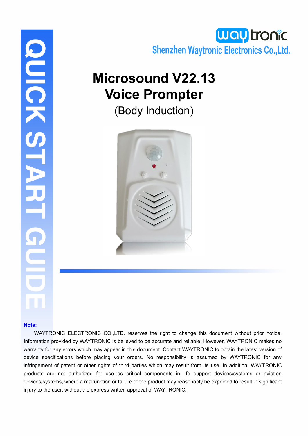

# **Microsound V22.13 Voice Prompter**

(Body Induction)



# DIGKSTARI

### **Note:**

WAYTRONIC ELECTRONIC CO.,LTD. reserves the right to change this document without prior notice. Information provided by WAYTRONIC is believed to be accurate and reliable. However, WAYTRONIC makes no warranty for any errors which may appear in this document. Contact WAYTRONIC to obtain the latest version of device specifications before placing your orders. No responsibility is assumed by WAYTRONIC for any infringement of patent or other rights of third parties which may result from its use. In addition, WAYTRONIC products are not authorized for use as critical components in life support devices/systems or aviation devices/systems, where a malfunction or failure of the product may reasonably be expected to result in significant injury to the user, without the express written approval of WAYTRONIC.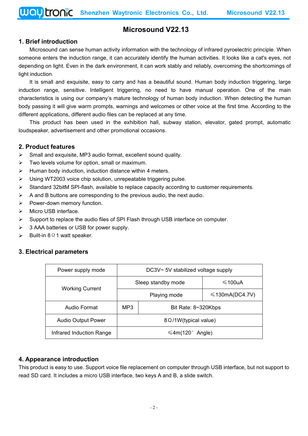# **Microsound V22.13**

### **1. Brief introduction**

Microsound can sense human activity information with the technology of infrared pyroelectric principle. When someone enters the induction range, it can accurately identify the human activities. It looks like a cat's eyes, not depending on light. Even in the dark environment, it can work stably and reliably, overcoming the shortcomings of light induction.

It is small and exquisite, easy to carry and has a beautiful sound. Human body induction triggering, large induction range, sensitive. Intelligent triggering, no need to have manual operation. One of the main characteristics is using our company's mature technology of human body induction. When detecting the human body passing it will give warm prompts, warnings and welcomes or other voice at the first time. According to the different applications, different audio files can be replaced at any time.

This product has been used in the exhibition hall, subway station, elevator, gated prompt, automatic loudspeaker, advertisement and other promotional occasions.

### **2. Product features**

- $\triangleright$  Small and exquisite, MP3 audio format, excellent sound quality.
- $\triangleright$  Two levels volume for option, small or maximum.
- $\triangleright$  Human body induction, induction distance within 4 meters.
- $\triangleright$  Using WT2003 voice chip solution, unrepeatable triggering pulse.
- $\triangleright$  Standard 32bitM SPI-flash, available to replace capacity according to customer requirements.
- $\triangleright$  A and B buttons are corresponding to the previous audio, the next audio.
- $\triangleright$  Power-down memory function.
- $\triangleright$  Micro USB interface.
- $\triangleright$  Support to replace the audio files of SPI Flash through USB interface on computer.
- $\geq$  3 AAA batteries or USB for power supply.
- $\triangleright$  Built-in 8 Ω 1 watt speaker.

### **3. Electrical parameters**

| Power supply mode         | DC3V~ 5V stabilized voltage supply |  |                      |
|---------------------------|------------------------------------|--|----------------------|
| <b>Working Current</b>    | Sleep standby mode                 |  | $\leq 100$ uA        |
|                           | Playing mode                       |  | $\leq$ 130mA(DC4.7V) |
| Audio Format              | MP3<br>Bit Rate: 8~320Kbps         |  |                      |
| <b>Audio Output Power</b> | 8 Ω/1W(typical value)              |  |                      |
| Infrared Induction Range  | $\leq 4m(120^{\circ}$ Angle)       |  |                      |

### **4. Appearance introduction**

This product is easy to use. Support voice file replacement on computer through USB interface, but not support to read SD card. It includes a micro USB interface, two keys A and B, a slide switch.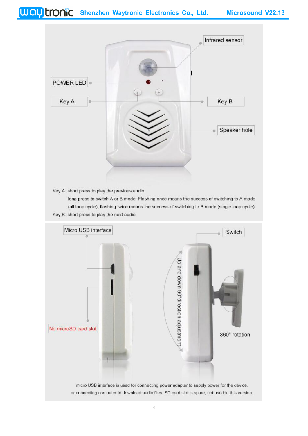

Key A: short press to play the previous audio.

long press to switch A or B mode. Flashing once means the success of switching to A mode (all loop cycle); flashing twice means the success of switching to B mode (single loop cycle). Key B: short press to play the next audio.

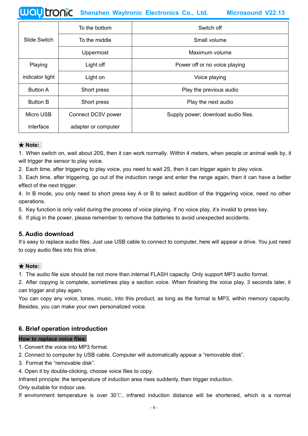| To the bottom   |                     | Switch off                          |  |
|-----------------|---------------------|-------------------------------------|--|
| Slide Switch    | To the middle       | Small volume                        |  |
|                 | Uppermost           | Maximum volume                      |  |
| Playing         | Light off           | Power off or no voice playing       |  |
| indicator light | Light on            | Voice playing                       |  |
| <b>Button A</b> | Short press         | Play the previous audio             |  |
| <b>Button B</b> | Short press         | Play the next audio                 |  |
| Micro USB       | Connect DC5V power  | Supply power; download audio files. |  |
| interface       | adapter or computer |                                     |  |

### ★ **Note:**

1. When switch on, wait about 20S, then it can work normally. Within 4 meters, when people or animal walk by, it will trigger the sensor to play voice.

2. Each time, after triggering to play voice, you need to wait 2S, then it can trigger again to play voice.

3. Each time, after triggering, go out of the induction range and enter the range again, then it can have a better effect of the next trigger.

4. In B mode, you only need to short press key A or B to select audition of the triggering voice, need no other operations.

5. Key function is only valid during the process of voice playing. If no voice play, it's invalid to press key.

6. If plug in the power, please remember to remove the batteries to avoid unexpected accidents.

### **5. Audio download**

It's easy to replace audio files. Just use USB cable to connect to computer, here will appear a drive. You just need to copy audio files into this drive.

### ★ **Note:**

1. The audio file size should be not more than internal FLASH capacity. Only support MP3 audio format.

2. After copying is complete, sometimes play a section voice. When finishing the voice play, 3 seconds later, it can trigger and play again.

You can copy any voice, tones, music, into this product, as long as the format is MP3, within memory capacity.<br>Besides, you can make your own personalized voice.

### **6. Brief operation introduction**

### **How to replace voice files:**

1. Convert the voice into MP3 format.

2. Connect to computer by USB cable. Computer will automatically appear a "removable disk".

- 3. Format the "removable disk".
- 4. Open it by double-clicking, choose voice files to copy.

Infrared principle: the temperature of induction area rises suddenly, then trigger induction.

Only suitable for indoor use.

If environment temperature is over 30℃, infrared induction distance will be shortened,which is a normal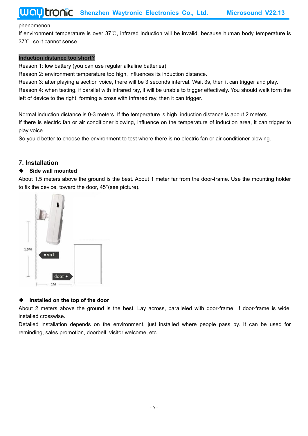### phenomenon.

If environment temperature is over 37℃, infrared induction will be invalid, because human body temperature is 37℃, so it cannot sense.

### **Induction distance too short?**

Reason 1: low battery (you can use regular alkaline batteries)

Reason 2: environment temperature too high, influences its induction distance.

Reason 3: after playing a section voice, there will be 3 seconds [interval.](file:///D:/Program%20Files/Youdao/Dict/6.3.69.5012/resultui/frame/javascript:void(0);) Wait 3s, then it can trigger and play.

Reason 4: when testing, if parallel with infrared ray, it will be unable to triggereffectively. You should walk form the left of device to the right, forming a cross with infrared ray, then it can trigger.

Normal induction distance is 0-3 meters. If the temperature ishigh, induction distance is about 2 meters. If there is electric fan or air conditioner blowing, influence on the temperature of induction area, it can trigger to play voice.

So you'd better to choose the environment to test where there is no electric fan or air conditioner blowing.

### **7. Installation**

### **Side wall mounted**

About 1.5 meters above the ground is the best. About 1 meter far from the door-frame. Use the mounting holder to fix the device, toward the door, 45°(see picture).



### **Installed on the top of the door**

About 2 meters above the ground is the best. Lay across, paralleled with door-frame. If door-frame is wide, installed crosswise.

Detailed installation depends on the environment, just installed where people pass by. It can be used for reminding, sales promotion, doorbell, visitor welcome, etc.